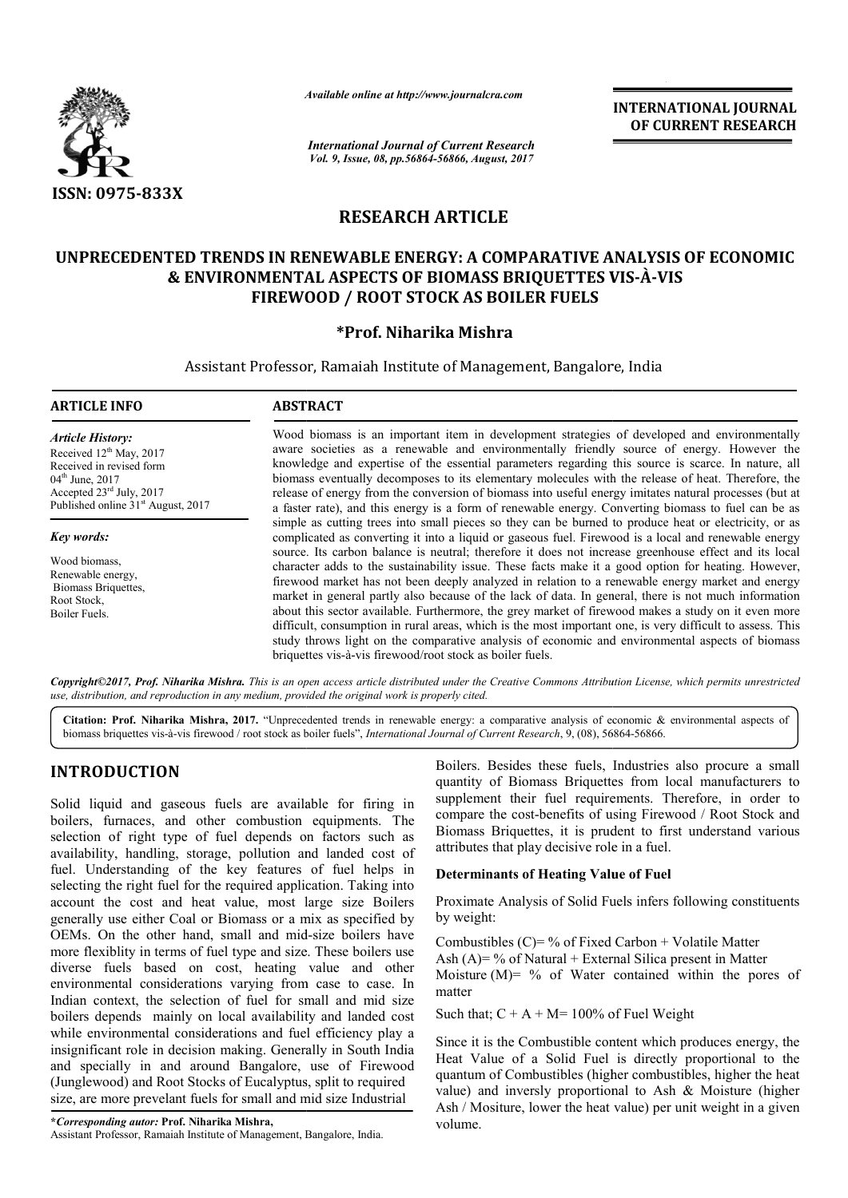

*Available online at http://www.journal http://www.journalcra.com*

*International Journal of Current Research Vol. 9, Issue, 08, pp.56864-56866, August, 2017*

**INTERNATIONAL JOURNAL OF CURRENT RESEARCH** 

# **RESEARCH ARTICLE**

## **UNPRECEDENTED TRENDS IN RENEWABLE ENERGY: A COMPARATIVE ANALYSIS OF ECONOMIC**  TED TRENDS IN RENEWABLE ENERGY: A COMPARATIVE ANALYSIS **&**<br>& ENVIRONMENTAL ASPECTS OF BIOMASS BRIQUETTES VIS-À-VIS **FIREWOOD / ROOT STOCK AS BOILER FUELS**

## **\*Prof. Niharika Mishra**

Assistant Professor, Ramaiah Institute of Management, Bangalore, India

#### **ARTICLE INFO ABSTRACT**

*Article History:* Received 12<sup>th</sup> May, 2017 Received in revised form 04<sup>th</sup> June, 2017 Accepted 23rd July, 2017 Published online 31<sup>st</sup> August, 2017

*Key words:*

Wood biomass, Renewable energy, Biomass Briquettes, Root Stock, Boiler Fuels.

Wood biomass is an important item in development strategies of developed and environmentally Wood biomass is an important item in development strategies of developed and environmentally aware societies as a renewable and environmentally friendly source of energy. However the knowledge and expertise of the essential parameters regarding this source is scarce. In nature, all biomass eventually decomposes to its elementary molecules with the release of heat. Therefore, the release of energy from the conversion of biomass into useful energy imitates natural processes (but at a faster rate), and this energy is a form of renewable energy. Converting biomass to fuel can be as simple as cutting trees into small pieces so they can be burned to produce heat or electricity, or as complicated as converting it into a liquid or gaseous fuel. Firewood is a local and renewable energy source. Its carbon balance is neutral; therefore it does not increase greenhouse effect and its local character adds to the sustainability issue. These facts make it a good option for heating. However, firewood market has not been deeply analyzed in relation to a renewable energy market and energy market in general partly also because of the lack of data. In general, there is not much information about this sector available. Furthermore, the grey market of firewood makes a study on it even more difficult, consumption in rural areas, which is the most important one, is very difficult to assess. This study throws light on the comparative analysis of economic and environmental aspects of biomass briquettes vis-à-vis firewood/root stock as boiler fuels. knowledge and expertise of the essential parameters regarding this source is scarce. In nature, all biomass eventually decomposes to its elementary molecules with the release of heat. Therefore, the release of energy from complicated as converting it into a liquid or gaseous fuel. Firewood is a local and renewable energy source. Its carbon balance is neutral; therefore it does not increase greenhouse effect and its local character adds to t about this sector available. Furthermore, the grey market of firewood makes a study on it even<br>difficult, consumption in rural areas, which is the most important one, is very difficult to assess.<br>study throws light on the **EXERVATIONAL JOURNAL CORREST EXERCTION CORREST EXERCT CORREST RESEARCH CORREST RESEARCH CORREST TREST (AND AND STRIP TO BUT AND AND CORREST TREST (ASS BOLLER FUELS VIS-A-VIS<br>
CCREW A COMPARATIVE SVIS-A-VIS<br>
CCREW AS BRIQ** 

*Copyright©2017, Prof. Niharika Mishra. This is an open access article distributed under the Creative Commons Att Attribution License, which ribution permits unrestricted use, distribution, and reproduction in any medium, provided the original work is properly cited.*

**Citation: Prof. Niharika Mishra, 2017.** "Unprecedented trends in renewable energy: a comparative analysis of economic & environmental aspects of Citation: Prof. Niharika Mishra, 2017. "Unprecedented trends in renewable energy: a comparative analysis of economic & biomass briquettes vis-à-vis firewood / root stock as boiler fuels", *International Journal of Current* 

## **INTRODUCTION**

Solid liquid and gaseous fuels are available for firing in boilers, furnaces, and other combustion equipments. The selection of right type of fuel depends on factors such as availability, handling, storage, pollution and landed cost of fuel. Understanding of the key features of fuel helps in selecting the right fuel for the required application. Taking into account the cost and heat value, most large size Boilers generally use either Coal or Biomass or a mix as specified by selecting the right fuel for the required application. Taking into<br>account the cost and heat value, most large size Boilers<br>generally use either Coal or Biomass or a mix as specified by<br>OEMs. On the other hand, small and m more flexiblity in terms of fuel type and size. These boilers use diverse fuels based on cost, heating value and other environmental considerations varying from case to case. In Indian context, the selection of fuel for small and mid size boilers depends mainly on local availability and landed cost while environmental considerations and fuel efficiency play a insignificant role in decision making. Generally in South India and specially in and around Bangalore, use of Firewood (Junglewood) and Root Stocks of Eucalyptus, split to r size, are more prevelant fuels for small and mid size Industrial lity and landed co<br>
uel efficiency play<br>
erally in South Ind<br>
, use of Firewoc<br>
us, split to required

Boilers. Besides these fuels, Industries also procure a small quantity of Biomass Briquettes from local manufacturers to quantity of Biomass Briquettes from local manufacturers to supplement their fuel requirements. Therefore, in order to compare the cost-benefits of using Firewood / Root Stock and Biomass Briquettes, it is prudent to first understand various attributes that play decisive role in a fuel. be the cost-benefits of using Firewood / Root St<br>Briquettes, it is prudent to first understand<br>s that play decisive role in a fuel.

## **Determinants of Heating Value of Fuel**

Proximate Analysis of Solid Fuels infers following constituents by weight:

Combustibles  $(C)$ = % of Fixed Carbon + Volatile Matter Proximate Analysis of Solid Fuels infers following consti<br>by weight:<br>Combustibles (C)= % of Fixed Carbon + Volatile Matter<br>Ash (A)= % of Natural + External Silica present in Matter Moisture  $(M)$ = % of Water contained within the pores of matter

Such that;  $C + A + M = 100\%$  of Fuel Weight

Since it is the Combustible content which produces energy, the Heat Value of a Solid Fuel is directly proportional to the quantum of Combustibles (higher combustibles, higher the heat value) and inversly proportional to Ash & Moisture (higher Ash / Mositure, lower the heat value) per unit weight in a given volume.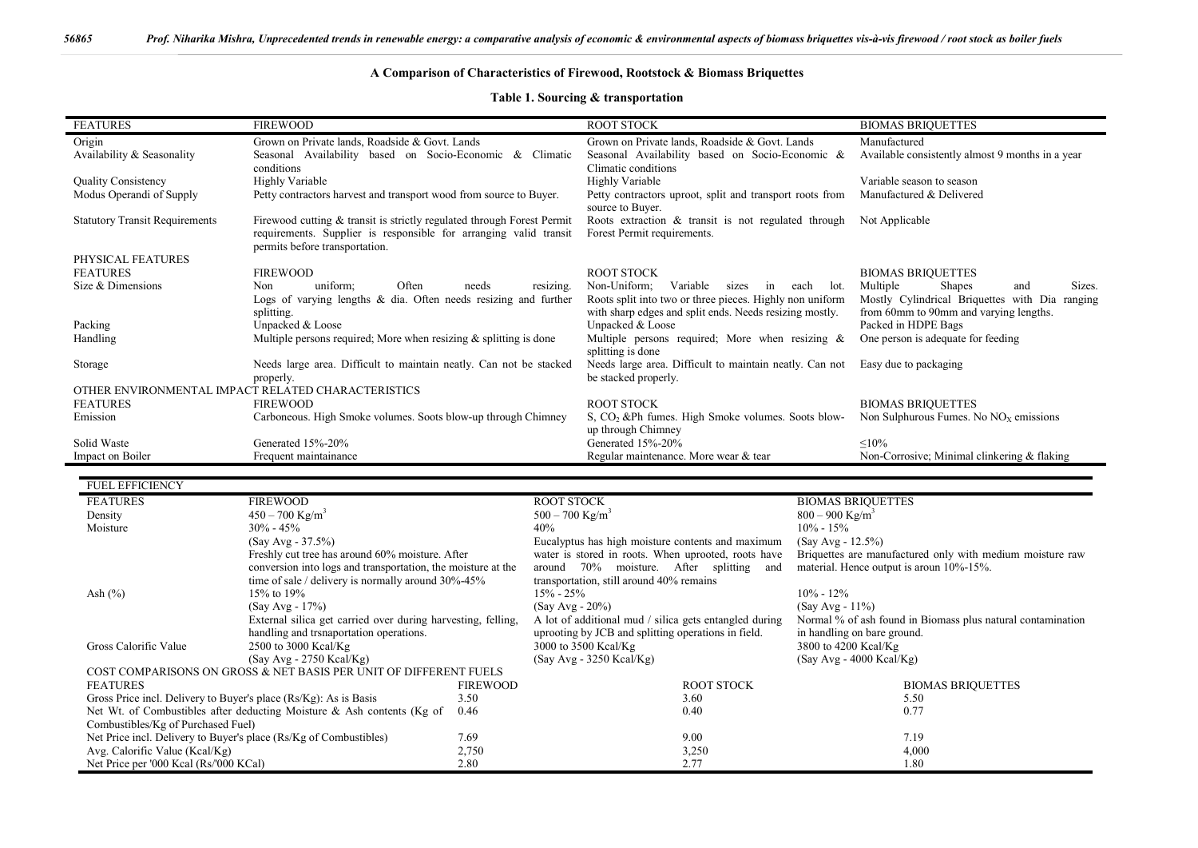Net Price per '000 Kcal (Rs/'000 KCal)

#### **A Comparison of Characteristics of Firewood, Rootstock & Biomass Briquettes**

#### **Table 1. Sourcing & transportation**

| <b>FEATURES</b><br><b>FIREWOOD</b>                                                                      |                                                                                                                                             |                               | <b>ROOT STOCK</b>                                                                  |                               | <b>BIOMAS BRIQUETTES</b>                                    |  |
|---------------------------------------------------------------------------------------------------------|---------------------------------------------------------------------------------------------------------------------------------------------|-------------------------------|------------------------------------------------------------------------------------|-------------------------------|-------------------------------------------------------------|--|
| Origin                                                                                                  | Grown on Private lands, Roadside & Govt. Lands                                                                                              |                               | Grown on Private lands, Roadside & Govt. Lands                                     |                               | Manufactured                                                |  |
| Availability & Seasonality                                                                              | Seasonal Availability based on Socio-Economic & Climatic                                                                                    |                               | Seasonal Availability based on Socio-Economic &                                    |                               | Available consistently almost 9 months in a year            |  |
| conditions                                                                                              |                                                                                                                                             |                               | Climatic conditions                                                                |                               |                                                             |  |
| Quality Consistency<br><b>Highly Variable</b>                                                           |                                                                                                                                             |                               | <b>Highly Variable</b>                                                             |                               | Variable season to season                                   |  |
| Modus Operandi of Supply<br>Petty contractors harvest and transport wood from source to Buyer.          |                                                                                                                                             |                               | Petty contractors uproot, split and transport roots from                           |                               | Manufactured & Delivered                                    |  |
|                                                                                                         |                                                                                                                                             |                               | source to Buyer.                                                                   |                               |                                                             |  |
| <b>Statutory Transit Requirements</b>                                                                   | Firewood cutting & transit is strictly regulated through Forest Permit<br>requirements. Supplier is responsible for arranging valid transit |                               | Roots extraction & transit is not regulated through<br>Forest Permit requirements. |                               | Not Applicable                                              |  |
|                                                                                                         | permits before transportation.                                                                                                              |                               |                                                                                    |                               |                                                             |  |
| PHYSICAL FEATURES                                                                                       |                                                                                                                                             |                               |                                                                                    |                               |                                                             |  |
| <b>FEATURES</b><br><b>FIREWOOD</b>                                                                      |                                                                                                                                             |                               | <b>ROOT STOCK</b>                                                                  |                               | <b>BIOMAS BRIQUETTES</b>                                    |  |
| Size & Dimensions<br>Non                                                                                | uniform:<br>Often<br>needs                                                                                                                  | resizing.                     | Non-Uniform;<br>Variable sizes in                                                  | each lot.                     | Multiple<br>Shapes<br>Sizes.<br>and                         |  |
|                                                                                                         | Logs of varying lengths & dia. Often needs resizing and further                                                                             |                               | Roots split into two or three pieces. Highly non uniform                           |                               | Mostly Cylindrical Briquettes with Dia ranging              |  |
| splitting.                                                                                              |                                                                                                                                             |                               | with sharp edges and split ends. Needs resizing mostly.                            |                               | from 60mm to 90mm and varying lengths.                      |  |
| Packing<br>Handling                                                                                     | Unpacked & Loose                                                                                                                            |                               | Unpacked & Loose<br>Multiple persons required; More when resizing &                |                               | Packed in HDPE Bags<br>One person is adequate for feeding   |  |
|                                                                                                         | Multiple persons required; More when resizing $\&$ splitting is done                                                                        |                               | splitting is done                                                                  |                               |                                                             |  |
| Storage                                                                                                 | Needs large area. Difficult to maintain neatly. Can not be stacked                                                                          |                               | Needs large area. Difficult to maintain neatly. Can not                            |                               | Easy due to packaging                                       |  |
| properly.                                                                                               |                                                                                                                                             |                               | be stacked properly.                                                               |                               |                                                             |  |
| OTHER ENVIRONMENTAL IMPACT RELATED CHARACTERISTICS                                                      |                                                                                                                                             |                               |                                                                                    |                               |                                                             |  |
| <b>FEATURES</b><br><b>FIREWOOD</b>                                                                      |                                                                                                                                             |                               | <b>ROOT STOCK</b>                                                                  |                               | <b>BIOMAS BRIQUETTES</b>                                    |  |
| Emission                                                                                                | Carboneous. High Smoke volumes. Soots blow-up through Chimney                                                                               |                               | S, CO <sub>2</sub> &Ph fumes. High Smoke volumes. Soots blow-                      |                               | Non Sulphurous Fumes. No $NOx$ emissions                    |  |
| Solid Waste<br>Generated 15%-20%                                                                        |                                                                                                                                             |                               | up through Chimney<br>Generated 15%-20%                                            |                               | $< 10\%$                                                    |  |
| Impact on Boiler<br>Frequent maintainance                                                               |                                                                                                                                             |                               | Regular maintenance. More wear & tear                                              |                               | Non-Corrosive; Minimal clinkering & flaking                 |  |
|                                                                                                         |                                                                                                                                             |                               |                                                                                    |                               |                                                             |  |
| FUEL EFFICIENCY                                                                                         |                                                                                                                                             |                               |                                                                                    |                               |                                                             |  |
| <b>FEATURES</b><br><b>FIREWOOD</b>                                                                      |                                                                                                                                             | <b>ROOT STOCK</b>             |                                                                                    |                               | <b>BIOMAS BRIQUETTES</b>                                    |  |
| $450 - 700$ Kg/m <sup>3</sup><br>Density                                                                |                                                                                                                                             | $500 - 700$ Kg/m <sup>3</sup> |                                                                                    | $800 - 900$ Kg/m <sup>3</sup> |                                                             |  |
| $30\% - 45\%$<br>Moisture                                                                               |                                                                                                                                             | 40%                           |                                                                                    | $10\% - 15\%$                 |                                                             |  |
| (Say Avg - 37.5%)                                                                                       |                                                                                                                                             |                               | Eucalyptus has high moisture contents and maximum                                  | (Say Avg - 12.5%)             |                                                             |  |
|                                                                                                         | Freshly cut tree has around 60% moisture. After                                                                                             |                               | water is stored in roots. When uprooted, roots have                                |                               | Briquettes are manufactured only with medium moisture raw   |  |
|                                                                                                         | conversion into logs and transportation, the moisture at the                                                                                |                               | around 70% moisture. After splitting and                                           |                               | material. Hence output is aroun 10%-15%.                    |  |
|                                                                                                         | time of sale / delivery is normally around 30%-45%<br>15% to 19%                                                                            |                               | transportation, still around 40% remains<br>$10\% - 12\%$                          |                               |                                                             |  |
| Ash $(\% )$                                                                                             | $(Say Avg - 17%)$                                                                                                                           |                               | $15% - 25%$<br>$(Say Avg - 20%)$                                                   |                               | (Say Avg - 11%)                                             |  |
|                                                                                                         | External silica get carried over during harvesting, felling,                                                                                |                               | A lot of additional mud / silica gets entangled during                             |                               | Normal % of ash found in Biomass plus natural contamination |  |
|                                                                                                         | handling and trsnaportation operations.                                                                                                     |                               | uprooting by JCB and splitting operations in field.                                |                               | in handling on bare ground.                                 |  |
| 2500 to 3000 Kcal/Kg<br>Gross Calorific Value                                                           |                                                                                                                                             | 3000 to 3500 Kcal/Kg          |                                                                                    | 3800 to 4200 Kcal/Kg          |                                                             |  |
|                                                                                                         | (Say Avg - 2750 Kcal/Kg)                                                                                                                    | $(Say Avg - 3250 Kcal/Kg)$    |                                                                                    |                               | $(Say Avg - 4000 Kcal/Kg)$                                  |  |
|                                                                                                         |                                                                                                                                             |                               |                                                                                    |                               |                                                             |  |
| COST COMPARISONS ON GROSS & NET BASIS PER UNIT OF DIFFERENT FUELS                                       |                                                                                                                                             |                               |                                                                                    |                               |                                                             |  |
| <b>FEATURES</b>                                                                                         | <b>FIREWOOD</b>                                                                                                                             |                               | <b>ROOT STOCK</b>                                                                  |                               | <b>BIOMAS BRIQUETTES</b>                                    |  |
| Gross Price incl. Delivery to Buyer's place (Rs/Kg): As is Basis                                        | 3.50                                                                                                                                        |                               | 3.60                                                                               |                               | 5.50                                                        |  |
| Net Wt. of Combustibles after deducting Moisture & Ash contents (Kg of                                  | 0.46                                                                                                                                        |                               | 0.40                                                                               |                               | 0.77                                                        |  |
| Combustibles/Kg of Purchased Fuel)<br>Net Price incl. Delivery to Buyer's place (Rs/Kg of Combustibles) | 7.69                                                                                                                                        |                               | 9.00                                                                               |                               | 7.19                                                        |  |

Avg. Calorific Value (Kcal/Kg) <br>
Net Price per '000 Kcal (Rs/'000 KCal) <br>
2.80 2.77 2.250 2.77 1.80